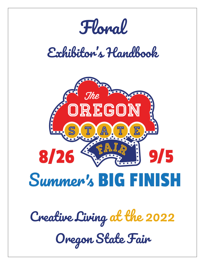*Floral*

# *Exhibitor's Handbook*



*Creative Living at the 2022 Oregon State Fair*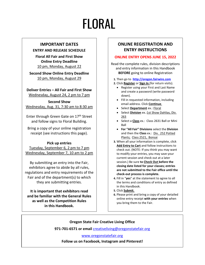# FLORAL

#### **IMPORTANT DATES**

#### **ENTRY AND RELEASE SCHEDULE**

**Floral All Fair and First Show Online Entry Deadline** 10 pm, Monday, August 22

**Second Show Online Entry Deadline** 10 pm, Monday, August 29

**Deliver Entries – All Fair and First Show** Wednesday, August 24, 2 pm to 7 pm

**Second Show** Wednesday, Aug. 31, 7:30 am to 8:30 am

Enter through Green Gate on 17<sup>th</sup> Street and follow signs to Floral Building.

Bring a copy of your online registration receipt (see instructions this page).

#### **Pick up entries**

Tuesday, September 6, 2 pm to 7 pm Wednesday, September 7, 10 am to 2 pm

By submitting an entry into the Fair, exhibitors agree to abide by all rules, regulations and entry requirements of the Fair and of the department(s) to which they are submitting entries.

**It is important that exhibitors read and be familiar with the General Rules as well as the Competition Rules in this Handbook.**

### **ONLINE REGISTRATION AND ENTRY INSTRUCTIONS**

#### **ONLINE ENTRY OPENS JUNE 15, 2022**

Read the complete rules, division descriptions and entry information in this Handbook **BEFORE** going to online Registration

- **1.** Then go to **[http://oregon.fairwire.com](http://oregon.fairwire.com/)**
- **2.** Click **Register** or **Sign In** (for return visits).
	- Register using your First and Last Name and create a password (write password down).
	- Fill in requested information, including email address. Click **Continue**.
	- Select **Department** ex.: Floral
	- Select **Division** ex.:1st Show Dahlias, Div. 263
	- Select a **Class** ex.: Class 2631 Ball or Mini Ball
	- **For "All Fair" Divisions** select the **Division** and then the **Class** ex.: Div. 252 Potted Plants; Class 2521, Bonsai
- **3.** When all your information is complete, click **Add Entry to Cart** and follow instructions to check out. (NOTE: If you think you may want to modify your entries, you may save your current session and check out at a later session.) Be sure **to Check Out before the closing date listed for your classes; entries are not submitted to the Fair office until the check-out process is complete.**
- **4.** Fill in "**yes**" at the statement to agree to all the terms and conditions of entry as defined in this Handbook.
- **5.** Click **Submit**.
- **6.** Please print and bring a copy of your detailed online entry receipt **with your entries** when you bring them to the Fair.

**Oregon State Fair Creative Living Office**

**971-701-6571 or email** [creativeliving@oregonstatefair.org](mailto:creativeliving@oregonstatefair.org)

[www.oregonstatefair.org](http://www.oregonstatefair.org/)

**Follow us on Facebook, Instagram and Pinterest!**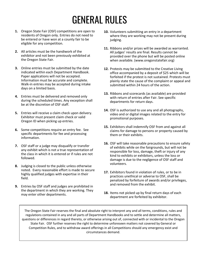## GENERAL RULES

- **1.** Oregon State Fair (OSF) competitions are open to residents of Oregon only. Entries do not need to be entered or have won at a county fair to be eligible for any competition.
- **2.** All articles must be the handiwork of the exhibitor and not been previously exhibited at the Oregon State Fair.
- **3.** Online entries must be submitted by the date indicated within each Department Handbook. Paper applications will not be accepted. Information must be accurate and complete. Walk-in entries may be accepted during intake days on a limited basis.
- **4.** Entries must be delivered and removed only during the scheduled times. Any exception shall be at the discretion of OSF staff.
- **5.** Entries will receive a claim check upon delivery. Exhibitor must present claim check or valid Oregon ID when picking up entries.
- **6.** Some competitions require an entry fee. See specific departments for fee and processing information.
- **7.** OSF staff or a judge may disqualify or transfer any exhibit which is not a true representation of the class in which it is entered or if rules are not followed.
- **8.** Judging is closed to the public unless otherwise noted. Every reasonable effort is made to secure highly qualified judges with expertise in their field.
- **9.** Entries by OSF staff and judges are prohibited in the department in which they are working. They may enter other departments.
- **10.** Volunteers submitting an entry in a department where they are working may not be present during judging.
- **11.** Ribbons and/or prizes will be awarded as warranted. All judges' results are final. Results cannot be provided over the phone but will be posted online when available. (www.oregonstatefair.org)
- **12.** Protests may be submitted to the Creative Living office accompanied by a deposit of \$25 which will be forfeited if the protest is not sustained. Protests must plainly state the cause of the complaint or appeal and submitted within 24 hours of the action.
- **13.** Ribbons and scorecards (as available) are provided with return of entries after Fair. See specific departments for return days.
- **14.** OSF is authorized to use any and all photographs, video and or digital images related to the entry for promotional purposes.
- **15.** Exhibitors shall indemnify OSF from and against all claims for damage to persons or property caused by them or their exhibits.
- **16.** OSF will take reasonable precautions to ensure safety of exhibits while on the fairgrounds, but will not be responsible for loss, damage, theft or injury of any kind to exhibits or exhibitors, unless the loss or damage is due to the negligence of OSF staff and volunteers.
- **17.** Exhibitors found in violation of rules, or to be in practices unethical or adverse to OSF, shall be penalized by forfeiture of awards and/or privileges, and removed from the exhibit.
- **18.** Items not picked up by final return days of each department are forfeited by exhibitor.

The Oregon State Fair reserves the final and absolute right to interpret any and all terms, conditions, rules and regulations contained in any and all parts of Department Handbooks and to settle and determine all matters, questions or differences in regard thereto, or otherwise arising out of, connected with or incidental to the Oregon State Fair. OSF further reserves the right to determine unforeseen matters not covered by General or Competition Rules, and to withdraw award offerings in all Competitions should any emergency exist and circumstances demand.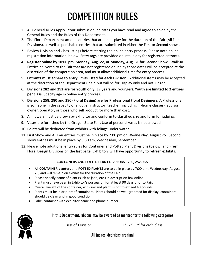## COMPETITION RULES

- 1. All General Rules Apply. Your submission indicates you have read and agree to abide by the General Rules and the Rules of this Department.
- 2. The Floral Department accepts entries that are on display for the duration of the Fair (All Fair Divisions), as well as perishable entries that are submitted in either the First or Second shows.
- 3. Review Division and Class listings before starting the online entry process. Please note online registration information, below. Entry tags are provided on intake day for registered entrants.
- 4. **Register online by 10:00 pm, Monday, Aug. 22, or Monday, Aug. 31 for Second Show**. Walk-In Entries delivered to the Fair that are not registered online by those dates will be accepted at the discretion of the competition area, and must allow additional time for entry process.
- 5. **Entrants must adhere to entry limits listed for each Division.** Additional items may be accepted at the discretion of the Department Chair, but will be for Display only and not judged.
- 6. **Divisions 282 and 292 are for Youth only** (17 years and younger). **Youth are limited to 2 entries per class.** Specify age in online entry process.
- 7. **Divisions 258, 280 and 290 (Floral Design) are for Professional Floral Designers.** A Professional is someone in the capacity of a judge, instructor, teacher (including in-home classes), advisor, owner, operator, or those who sell product for more than cost.
- 8. All flowers must be grown by exhibitor and conform to classified size and form for judging.
- 9. Vases are furnished by the Oregon State Fair. Use of personal vases is not allowed.
- 10. Points will be deducted from exhibits with foliage under water.
- 11. First Show and All Fair entries must be in place by 7:00 pm on Wednesday, August 25. Second show entries must be in place by 8:30 am, Wednesday, September 1.
- 12. Please note additional entry rules for Container and Potted Plant Divisions (below) and Fresh Floral Design Divisions on the last page. Exhibitors will have opportunity to refresh exhibits.

### **CONTAINERS AND POTTED PLANT DIVISIONS –250, 252, 255**

- All **CONTAINER planters** and **POTTED PLANTS** are to be in place by 7:00 p.m. Wednesday, August 25, and will remain on exhibit for the duration of the Fair.
- Please specify name of plant (such as jade, etc.) in description box online.
- Plant must have been in Exhibitor's possession for at least 90 days prior to Fair.
- Overall weight of the container, with soil and plant, is not to exceed 40 pounds.
- Plants must be in drip-proof containers. Plants should be well-groomed for display; containers should be clean and in good condition.
- Label container with exhibitor name and phone number.



In this Department, ribbons may be awarded as merited for the following categories:

Best of Division  $1<sup>st</sup>$ ,  $2<sup>nd</sup>$ ,  $3<sup>rd</sup>$  for each class

All judges' decisions are final.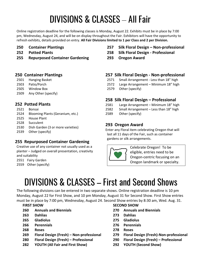## DIVISIONS & CLASSES – All Fair

Online registration deadline for the following classes is Monday, August 22. Exhibits must be in place by 7:00 pm, Wednesday, August 24, and will be on display throughout the Fair. Exhibitors will have the opportunity to refresh exhibits, details provided on entry. **All Fair Divisions limited to 1 per Class and 2 per Division.**

- **250 Container Plantings**
- **252 Potted Plants**
- **255 Repurposed Container Gardening**

- **250 Container Plantings** 2501 Hanging Basket
- 2503 Patio/Porch
- 2505 Window Box
- 2509 Any Other (specify)

### **252 Potted Plants**

- 2521 Bonsai
- 2524 Blooming Plants (Geranium, etc.)
- 2525 House Plant
- 2528 Succulent
- 2530 Dish Garden (3 or more varieties)
- 2539 Other (specify)

### **255 Repurposed Container Gardening**

- Creative use of any container not usually used as a planter – Judged on overall presentation, creativity and suitability
- 2551 Fairy Garden
- 2559 Other (specify)

### **257 Silk Floral Design – Non-professional**

- **258 Silk Floral Design - Professional**
- **293 Oregon Award**

### **257 Silk Floral Design - Non-professional**

- 2571 Small Arrangement Less than 18" high
- 2572 Large Arrangement Minimum 18" high
- 2579 Other (specify)

### **258 Silk Floral Design – Professional**

- 2581 Large Arrangement Minimum 18" high
- 2582 Small Arrangement Less than 18" high
- 2589 Other (specify)

### **293 Oregon Award**

Enter any Floral item celebrating Oregon that will last all 11 days of the Fair, such as container gardens or silk arrangements.



Celebrate Oregon! To be eligible, entries need to be Oregon-centric focusing on an Oregon landmark or specialty.

## DIVISIONS & CLASSES – First and Second Shows

The following divisions can be entered in two separate shows. Online registration deadline is 10 pm Monday, August 22 for First Show, and 10 pm Monday, August 31 for Second Show. First Show entries must be in place by 7:00 pm, Wednesday, August 24. Second Show entries by 8:30 am, Wed. Aug. 31.

- **260 Annuals and Biennials 270 Annuals and Biennials**
- **263 Dahlias 273 Dahlias**
- **265 Gladiolus 275 Gladiolus**
- **266 Perennials 276 Perennials**
- **268 Roses 278 Roses**
- **269 Floral Design (Fresh) – Non-professional 279 Floral Design (Fresh)-Non-professional**
- **280 Floral Design (Fresh) – Professional 290 Floral Design (Fresh) – Professional**
- **282 YOUTH (All Fair and First Show) 292 YOUTH (Second Show)**

### **FIRST SHOW SECOND SHOW**

- 
- 
- 
- 
- 
- 
- 
-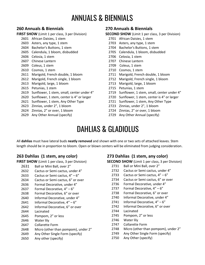### ANNUALS & BIENNIALS

### **260 Annuals & Biennials**

**FIRST SHOW** (Limit 1 per class, 3 per Division)

- African Daisies, 1 stem
- Asters, any type, 1 stem
- Bachelor's Buttons, 1 stem
- Calendula, 1 bloom, disbudded
- Celosia, 1 stem
- Chinese Lantern
- Coleus, 1 stem
- Cosmos, 1 stem
- Marigold, French double, 1 bloom
- Marigold, French single, 1 bloom
- Marigold, large, 1 bloom
- Petunias, 1 stem
- Sunflower, 1 stem, small, center under 4"
- Sunflower, 1 stem, center is 4" or larger
- Sunflower, 1 stem, Any Other Type
- Zinnias, under 2", 1 bloom
- Zinnias, 2" or over, 1 bloom
- Any Other Annual (specify)

### **270 Annuals & Biennials**

**SECOND SHOW** (Limit 1 per class, 3 per Division)

- African Daisies, 1 stem
- Asters, any type, 1 stem
- Bachelor's Buttons, 1 stem
- Calendula, 1 bloom, disbudded
- Celosia, 1 stem
- Chinese Lantern
- 2709 Coleus, 1 stem
- Cosmos, 1 stem
- Marigold, French double, 1 bloom
- Marigold, French single, 1 bloom
- Marigold, large, 1 bloom
- Petunias, 1 stem
- Sunflower, 1 stem, small, center under 4"
- Sunflower, 1 stem, center is 4" or larger
- Sunflower, 1 stem, Any Other Type
- Zinnias, under 2", 1 bloom
- Zinnias, 2" or over, 1 bloom
- Any Other Annual (specify)

### DAHLIAS & GLADIOLUS

All **dahlias** must have lateral buds **neatly removed** and shown with one or two sets of attached leaves. Stem length should be in proportion to bloom. Open or blown centers will be eliminated from judging consideration.

### **263 Dahlias (1 stem, any color)**

**FIRST SHOW** (Limit 1 per class, 3 per Division)

- Ball or Mini Ball, over 2"
- Cactus or Semi cactus, under 4"
- Cactus or Semi cactus, 4" 6"
- Cactus or Semi cactus, 6" or over
- Formal Decorative, under 4"
- Formal Decorative, 4" 6"
- Formal Decorative, 6" or over
- Informal Decorative, under 4"
- Informal Decorative, 4" 6"
- Informal Decorative, 6" or over
- Lacinated
- Pompom, 2" or less
- Water lily
- Collarette Form
- Micro (other than pompom), under 2"
- Any Other Single Form (specify)
- Any other (specify)

### **273 Dahlias (1 stem, any color)**

**SECOND SHOW** (Limit 1 per class, 3 per Division)

- Ball or Mini Ball, over 2"
- Cactus or Semi cactus, under 4"
- Cactus or Semi cactus, 4" 6"
- Cactus or Semi cactus, 6" or over
- Formal Decorative, under 4"
- Formal Decorative, 4" 6"
- Formal Decorative, 6" or over
- Informal Decorative, under 4"
- Informal Decorative, 4" 6"
- Informal Decorative, 6" or over
- Lacinated
- Pompom, 2" or less
- Water lily
- Collarette Form
- Micro (other than pompom), under 2"
- Any Other Single Form (specify)
- Any Other (specify)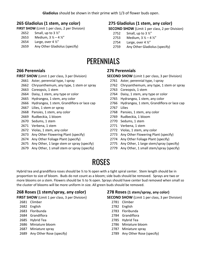### **265 Gladiolus (1 stem, any color)**

**FIRST SHOW** (Limit 1 per class, 2 per Division)

- Small, up to 3 ½"
- 2653 Medium,  $3 \frac{1}{2} 4 \frac{1}{2}$
- 2654 Large, over  $4\frac{1}{2}$ "
- Any Other Gladiolus (specify)

### **275 Gladiolus (1 stem, any color)**

**SECOND SHOW** (Limit 1 per class, 2 per Division)

- 2752 Small, up to  $3\frac{1}{2}$ "
- 2753 Medium,  $3 \frac{1}{2} 4 \frac{1}{2}$
- 2754 Large, over  $4\frac{1}{2}$ "
- Any Other Gladiolus (specify)

### PERENNIALS

### **266 Perennials**

**FIRST SHOW** (Limit 1 per class, 3 per Division)

- Aster, perennial type, I spray
- Chrysanthemum, any type, 1 stem or spray
- Coreopsis, 1 stem
- Daisy, 1 stem, any type or color
- Hydrangea, 1 stem, any color
- Hydrangea, 1 stem, Grandiflora or lace cap
- Lilies, 1 stem or spray
- Pansies, 1 stem, any color
- Rudbeckia, 1 bloom
- Sedums, 1 stem
- Verbena, 1 stem
- Violas, 1 stem, any color
- Any Other Flowering Plant (specify)
- Any Other Foliage Plant (specify)
- Any Other, 1 large stem or spray (specify)
- Any Other, 1 small stem or spray (specify)

### **276 Perennials**

**SECOND SHOW** (Limit 1 per class, 3 per Division)

- Aster, perennial type, I spray
- Chrysanthemum, any type, 1 stem or spray
- Coreopsis, 1 stem
- Daisy, 1 stem, any type or color
- Hydrangea, 1 stem, any color
- Hydrangea, 1 stem, Grandiflora or lace cap
- Lilies
- Pansies, 1 stem, any color
- Rudbeckia, 1 bloom
- Sedums, 1 stem
- Verbena, 1 stem
- Violas, 1 stem, any color
- Any Other Flowering Plant (specify)
- Any Other Foliage Plant (specify)
- Any Other, 1 large stem/spray (specify)
- Any Other, 1 small stem/spray (specify)

### ROSES

Hybrid tea and grandiflora roses should be  $\frac{1}{2}$  to  $\frac{3}{4}$  open with a tight spiral center. Stem length should be in proportion to size of bloom. Buds do not count as a bloom; side buds should be removed.Sprays are two or more blooms on a stem. Flowers should be  $\frac{1}{2}$  to  $\frac{3}{4}$  open. Sprays should have center bud removed when small so the cluster of blooms will be more uniform in size. All green buds should be removed.

### **268 Roses (1 stem/spray, any color)**

**FIRST SHOW** (Limit 1 per class, 3 per Division)

- Climber
- English
- Floribunda
- Grandiflora
- Hybrid Tea
- Miniature bloom
- Miniature spray
- Any Other Rose (specify)

### **278 Roses (1 stem/spray, any color)**

**SECOND SHOW** (Limit 1 per class, 3 per Division)

- Climber
- English
- Floribunda
- Grandiflora
- Hybrid Tea
- Miniature bloom
- Miniature spray
- Any Other Rose (specify)